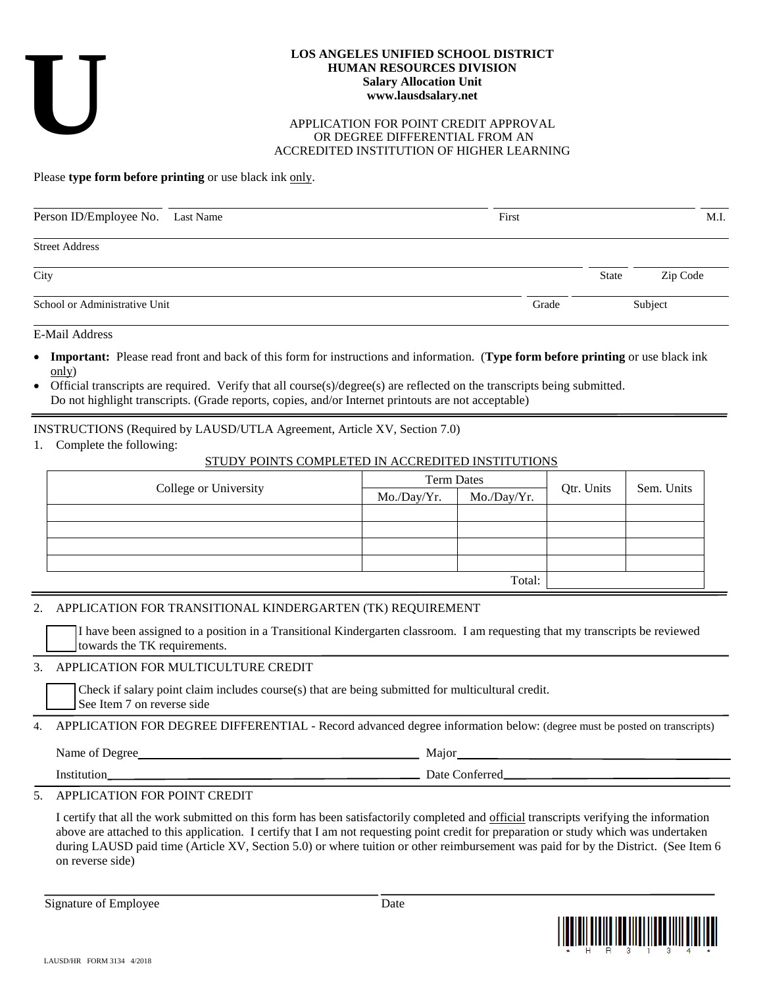# **U**

#### **LOS ANGELES UNIFIED SCHOOL DISTRICT HUMAN RESOURCES DIVISION Salary Allocation Unit www.lausdsalary.net**

#### APPLICATION FOR POINT CREDIT APPROVAL OR DEGREE DIFFERENTIAL FROM AN ACCREDITED INSTITUTION OF HIGHER LEARNING

#### Please **type form before printing** or use black ink only.

| Person ID/Employee No. Last Name | First |              | M.I.     |
|----------------------------------|-------|--------------|----------|
| <b>Street Address</b>            |       |              |          |
| City                             |       | <b>State</b> | Zip Code |
| School or Administrative Unit    | Grade | Subject      |          |

E-Mail Address

- **Important:** Please read front and back of this form for instructions and information. (**Type form before printing** or use black ink only)
- Official transcripts are required. Verify that all course(s)/degree(s) are reflected on the transcripts being submitted. Do not highlight transcripts. (Grade reports, copies, and/or Internet printouts are not acceptable)

INSTRUCTIONS (Required by LAUSD/UTLA Agreement, Article XV, Section 7.0)

1. Complete the following:

## STUDY POINTS COMPLETED IN ACCREDITED INSTITUTIONS

|                       | <b>Term Dates</b> |             |            | Sem. Units |
|-----------------------|-------------------|-------------|------------|------------|
| College or University | Mo./Day/Yr.       | Mo./Day/Yr. | Qtr. Units |            |
|                       |                   |             |            |            |
|                       |                   |             |            |            |
|                       |                   |             |            |            |
|                       |                   |             |            |            |
| Total:                |                   |             |            |            |

## 2. APPLICATION FOR TRANSITIONAL KINDERGARTEN (TK) REQUIREMENT

I have been assigned to a position in a Transitional Kindergarten classroom. I am requesting that my transcripts be reviewed towards the TK requirements.

## 3. APPLICATION FOR MULTICULTURE CREDIT

Check if salary point claim includes course(s) that are being submitted for multicultural credit. See Item 7 on reverse side

4. APPLICATION FOR DEGREE DIFFERENTIAL - Record advanced degree information below: (degree must be posted on transcripts)

Name of Degree Major

Institution Date Conferred

# 5. APPLICATION FOR POINT CREDIT

I certify that all the work submitted on this form has been satisfactorily completed and official transcripts verifying the information above are attached to this application. I certify that I am not requesting point credit for preparation or study which was undertaken during LAUSD paid time (Article XV, Section 5.0) or where tuition or other reimbursement was paid for by the District. (See Item 6 on reverse side)

Signature of Employee Date